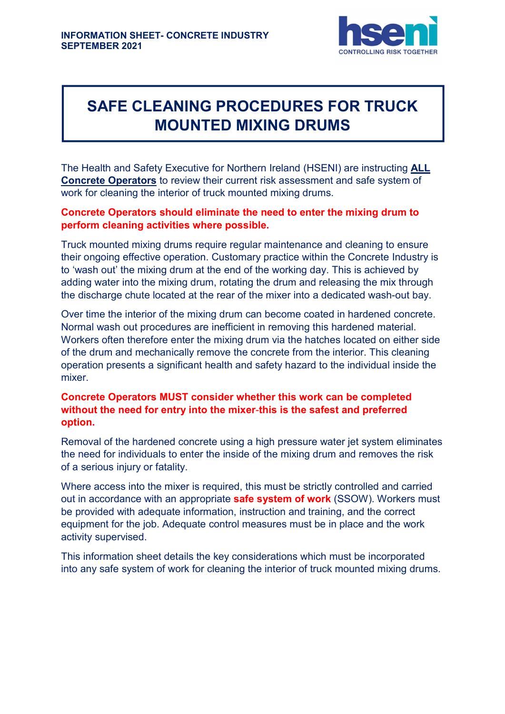

# SAFE CLEANING PROCEDURES FOR TRUCK MOUNTED MIXING DRUMS

The Health and Safety Executive for Northern Ireland (HSENI) are instructing ALL Concrete Operators to review their current risk assessment and safe system of work for cleaning the interior of truck mounted mixing drums.

## Concrete Operators should eliminate the need to enter the mixing drum to perform cleaning activities where possible.

Truck mounted mixing drums require regular maintenance and cleaning to ensure their ongoing effective operation. Customary practice within the Concrete Industry is to 'wash out' the mixing drum at the end of the working day. This is achieved by adding water into the mixing drum, rotating the drum and releasing the mix through the discharge chute located at the rear of the mixer into a dedicated wash-out bay.

Over time the interior of the mixing drum can become coated in hardened concrete. Normal wash out procedures are inefficient in removing this hardened material. Workers often therefore enter the mixing drum via the hatches located on either side of the drum and mechanically remove the concrete from the interior. This cleaning operation presents a significant health and safety hazard to the individual inside the mixer.

## Concrete Operators MUST consider whether this work can be completed without the need for entry into the mixer-this is the safest and preferred option.

Removal of the hardened concrete using a high pressure water jet system eliminates the need for individuals to enter the inside of the mixing drum and removes the risk of a serious injury or fatality.

Where access into the mixer is required, this must be strictly controlled and carried out in accordance with an appropriate **safe system of work** (SSOW). Workers must be provided with adequate information, instruction and training, and the correct equipment for the job. Adequate control measures must be in place and the work activity supervised.

This information sheet details the key considerations which must be incorporated into any safe system of work for cleaning the interior of truck mounted mixing drums.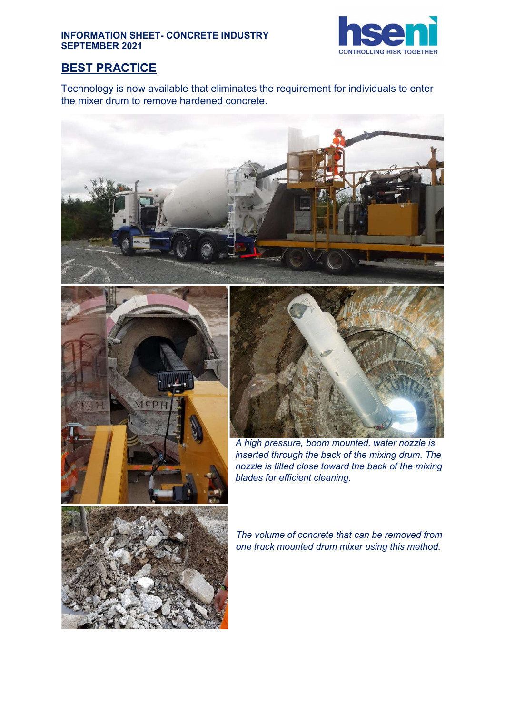#### INFORMATION SHEET- CONCRETE INDUSTRY SEPTEMBER 2021



## BEST PRACTICE

Technology is now available that eliminates the requirement for individuals to enter the mixer drum to remove hardened concrete.







A high pressure, boom mounted, water nozzle is inserted through the back of the mixing drum. The nozzle is tilted close toward the back of the mixing blades for efficient cleaning.



The volume of concrete that can be removed from one truck mounted drum mixer using this method.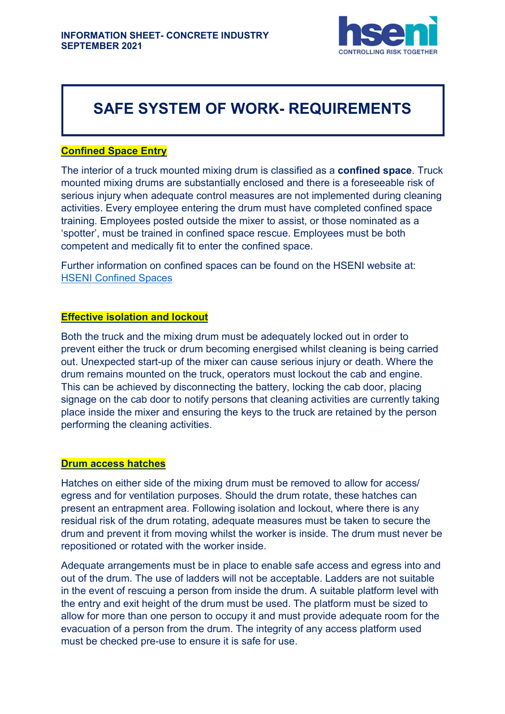

## SAFE SYSTEM OF WORK- REQUIREMENTS

### Confined Space Entry

The interior of a truck mounted mixing drum is classified as a confined space. Truck mounted mixing drums are substantially enclosed and there is a foreseeable risk of serious injury when adequate control measures are not implemented during cleaning activities. Every employee entering the drum must have completed confined space training. Employees posted outside the mixer to assist, or those nominated as a 'spotter', must be trained in confined space rescue. Employees must be both competent and medically fit to enter the confined space.

Further information on confined spaces can be found on the HSENI website at: HSENI Confined Spaces

#### Effective isolation and lockout

Both the truck and the mixing drum must be adequately locked out in order to prevent either the truck or drum becoming energised whilst cleaning is being carried out. Unexpected start-up of the mixer can cause serious injury or death. Where the drum remains mounted on the truck, operators must lockout the cab and engine. This can be achieved by disconnecting the battery, locking the cab door, placing signage on the cab door to notify persons that cleaning activities are currently taking place inside the mixer and ensuring the keys to the truck are retained by the person performing the cleaning activities.

#### Drum access hatches

Hatches on either side of the mixing drum must be removed to allow for access/ egress and for ventilation purposes. Should the drum rotate, these hatches can present an entrapment area. Following isolation and lockout, where there is any residual risk of the drum rotating, adequate measures must be taken to secure the drum and prevent it from moving whilst the worker is inside. The drum must never be repositioned or rotated with the worker inside.

Adequate arrangements must be in place to enable safe access and egress into and out of the drum. The use of ladders will not be acceptable. Ladders are not suitable in the event of rescuing a person from inside the drum. A suitable platform level with the entry and exit height of the drum must be used. The platform must be sized to allow for more than one person to occupy it and must provide adequate room for the evacuation of a person from the drum. The integrity of any access platform used must be checked pre-use to ensure it is safe for use.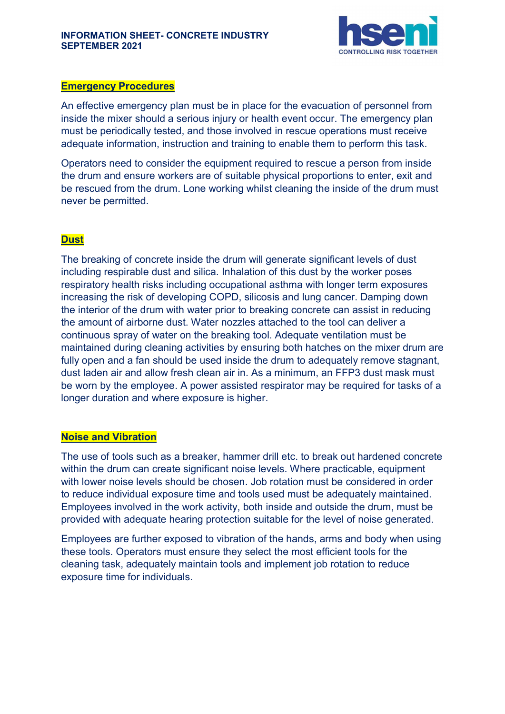

#### Emergency Procedures

An effective emergency plan must be in place for the evacuation of personnel from inside the mixer should a serious injury or health event occur. The emergency plan must be periodically tested, and those involved in rescue operations must receive adequate information, instruction and training to enable them to perform this task.

Operators need to consider the equipment required to rescue a person from inside the drum and ensure workers are of suitable physical proportions to enter, exit and be rescued from the drum. Lone working whilst cleaning the inside of the drum must never be permitted.

## **Dust**

The breaking of concrete inside the drum will generate significant levels of dust including respirable dust and silica. Inhalation of this dust by the worker poses respiratory health risks including occupational asthma with longer term exposures increasing the risk of developing COPD, silicosis and lung cancer. Damping down the interior of the drum with water prior to breaking concrete can assist in reducing the amount of airborne dust. Water nozzles attached to the tool can deliver a continuous spray of water on the breaking tool. Adequate ventilation must be maintained during cleaning activities by ensuring both hatches on the mixer drum are fully open and a fan should be used inside the drum to adequately remove stagnant, dust laden air and allow fresh clean air in. As a minimum, an FFP3 dust mask must be worn by the employee. A power assisted respirator may be required for tasks of a longer duration and where exposure is higher.

#### Noise and Vibration

The use of tools such as a breaker, hammer drill etc. to break out hardened concrete within the drum can create significant noise levels. Where practicable, equipment with lower noise levels should be chosen. Job rotation must be considered in order to reduce individual exposure time and tools used must be adequately maintained. Employees involved in the work activity, both inside and outside the drum, must be provided with adequate hearing protection suitable for the level of noise generated.

Employees are further exposed to vibration of the hands, arms and body when using these tools. Operators must ensure they select the most efficient tools for the cleaning task, adequately maintain tools and implement job rotation to reduce exposure time for individuals.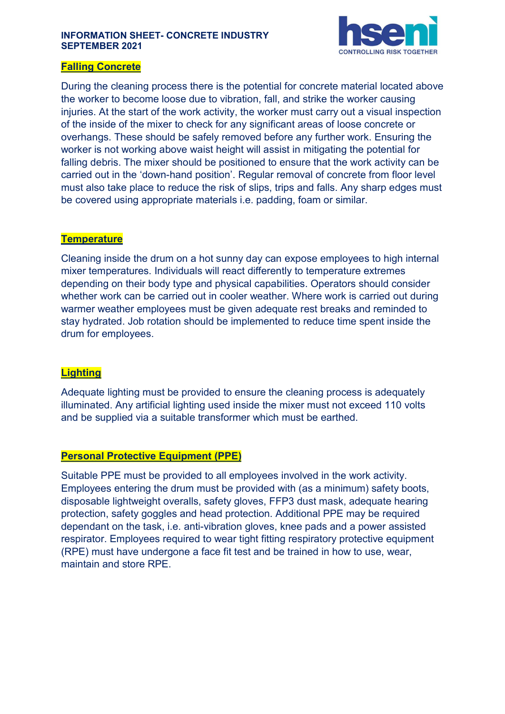#### INFORMATION SHEET- CONCRETE INDUSTRY SEPTEMBER 2021



### Falling Concrete

During the cleaning process there is the potential for concrete material located above the worker to become loose due to vibration, fall, and strike the worker causing injuries. At the start of the work activity, the worker must carry out a visual inspection of the inside of the mixer to check for any significant areas of loose concrete or overhangs. These should be safely removed before any further work. Ensuring the worker is not working above waist height will assist in mitigating the potential for falling debris. The mixer should be positioned to ensure that the work activity can be carried out in the 'down-hand position'. Regular removal of concrete from floor level must also take place to reduce the risk of slips, trips and falls. Any sharp edges must be covered using appropriate materials i.e. padding, foam or similar.

## **Temperature**

Cleaning inside the drum on a hot sunny day can expose employees to high internal mixer temperatures. Individuals will react differently to temperature extremes depending on their body type and physical capabilities. Operators should consider whether work can be carried out in cooler weather. Where work is carried out during warmer weather employees must be given adequate rest breaks and reminded to stay hydrated. Job rotation should be implemented to reduce time spent inside the drum for employees.

### **Lighting**

Adequate lighting must be provided to ensure the cleaning process is adequately illuminated. Any artificial lighting used inside the mixer must not exceed 110 volts and be supplied via a suitable transformer which must be earthed.

### Personal Protective Equipment (PPE)

Suitable PPE must be provided to all employees involved in the work activity. Employees entering the drum must be provided with (as a minimum) safety boots, disposable lightweight overalls, safety gloves, FFP3 dust mask, adequate hearing protection, safety goggles and head protection. Additional PPE may be required dependant on the task, i.e. anti-vibration gloves, knee pads and a power assisted respirator. Employees required to wear tight fitting respiratory protective equipment (RPE) must have undergone a face fit test and be trained in how to use, wear, maintain and store RPE.